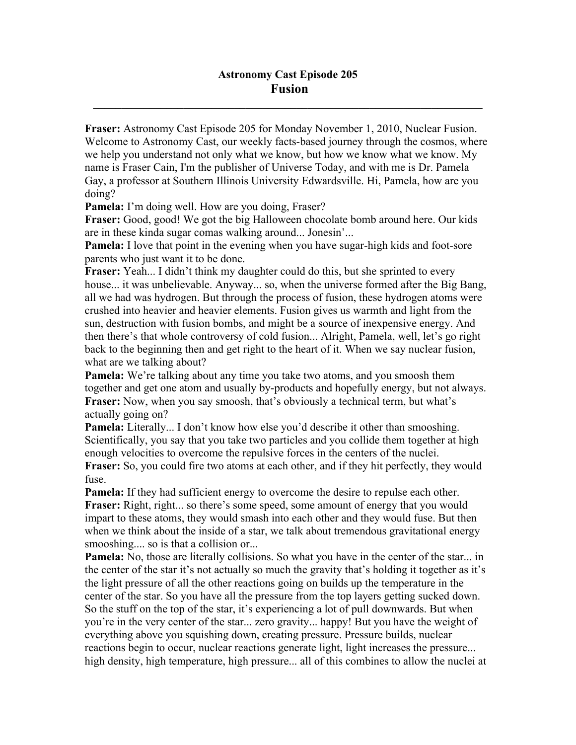$\mathcal{L}_\mathcal{L} = \mathcal{L}_\mathcal{L} = \mathcal{L}_\mathcal{L} = \mathcal{L}_\mathcal{L} = \mathcal{L}_\mathcal{L} = \mathcal{L}_\mathcal{L} = \mathcal{L}_\mathcal{L} = \mathcal{L}_\mathcal{L} = \mathcal{L}_\mathcal{L} = \mathcal{L}_\mathcal{L} = \mathcal{L}_\mathcal{L} = \mathcal{L}_\mathcal{L} = \mathcal{L}_\mathcal{L} = \mathcal{L}_\mathcal{L} = \mathcal{L}_\mathcal{L} = \mathcal{L}_\mathcal{L} = \mathcal{L}_\mathcal{L}$ 

**Fraser:** Astronomy Cast Episode 205 for Monday November 1, 2010, Nuclear Fusion. Welcome to Astronomy Cast, our weekly facts-based journey through the cosmos, where we help you understand not only what we know, but how we know what we know. My name is Fraser Cain, I'm the publisher of Universe Today, and with me is Dr. Pamela Gay, a professor at Southern Illinois University Edwardsville. Hi, Pamela, how are you doing?

Pamela: I'm doing well. How are you doing, Fraser?

**Fraser:** Good, good! We got the big Halloween chocolate bomb around here. Our kids are in these kinda sugar comas walking around... Jonesin'...

**Pamela:** I love that point in the evening when you have sugar-high kids and foot-sore parents who just want it to be done.

**Fraser:** Yeah... I didn't think my daughter could do this, but she sprinted to every house... it was unbelievable. Anyway... so, when the universe formed after the Big Bang, all we had was hydrogen. But through the process of fusion, these hydrogen atoms were crushed into heavier and heavier elements. Fusion gives us warmth and light from the sun, destruction with fusion bombs, and might be a source of inexpensive energy. And then there's that whole controversy of cold fusion... Alright, Pamela, well, let's go right back to the beginning then and get right to the heart of it. When we say nuclear fusion, what are we talking about?

**Pamela:** We're talking about any time you take two atoms, and you smoosh them together and get one atom and usually by-products and hopefully energy, but not always. **Fraser:** Now, when you say smoosh, that's obviously a technical term, but what's actually going on?

**Pamela:** Literally... I don't know how else you'd describe it other than smooshing. Scientifically, you say that you take two particles and you collide them together at high enough velocities to overcome the repulsive forces in the centers of the nuclei.

**Fraser:** So, you could fire two atoms at each other, and if they hit perfectly, they would fuse.

**Pamela:** If they had sufficient energy to overcome the desire to repulse each other. **Fraser:** Right, right... so there's some speed, some amount of energy that you would impart to these atoms, they would smash into each other and they would fuse. But then when we think about the inside of a star, we talk about tremendous gravitational energy smooshing.... so is that a collision or...

**Pamela:** No, those are literally collisions. So what you have in the center of the star... in the center of the star it's not actually so much the gravity that's holding it together as it's the light pressure of all the other reactions going on builds up the temperature in the center of the star. So you have all the pressure from the top layers getting sucked down. So the stuff on the top of the star, it's experiencing a lot of pull downwards. But when you're in the very center of the star... zero gravity... happy! But you have the weight of everything above you squishing down, creating pressure. Pressure builds, nuclear reactions begin to occur, nuclear reactions generate light, light increases the pressure... high density, high temperature, high pressure... all of this combines to allow the nuclei at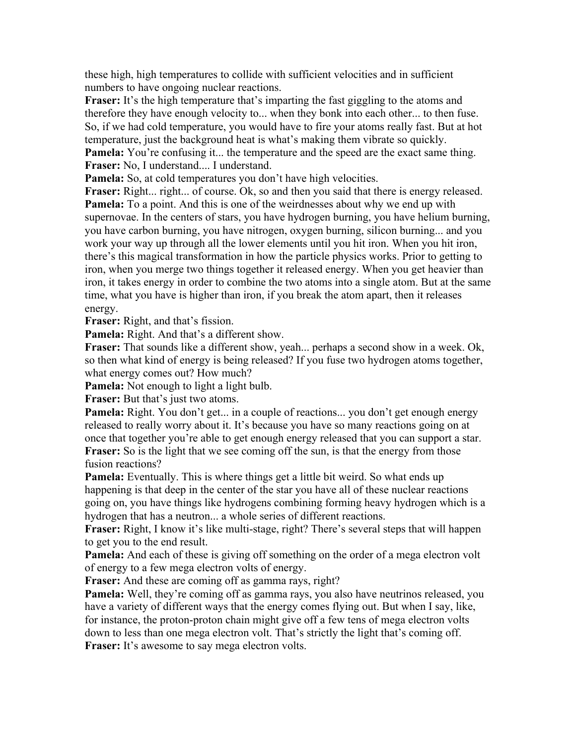these high, high temperatures to collide with sufficient velocities and in sufficient numbers to have ongoing nuclear reactions.

**Fraser:** It's the high temperature that's imparting the fast giggling to the atoms and therefore they have enough velocity to... when they bonk into each other... to then fuse. So, if we had cold temperature, you would have to fire your atoms really fast. But at hot temperature, just the background heat is what's making them vibrate so quickly. **Pamela:** You're confusing it... the temperature and the speed are the exact same thing. **Fraser:** No, I understand.... I understand.

**Pamela:** So, at cold temperatures you don't have high velocities.

Fraser: Right... right... of course. Ok, so and then you said that there is energy released. **Pamela:** To a point. And this is one of the weirdnesses about why we end up with supernovae. In the centers of stars, you have hydrogen burning, you have helium burning, you have carbon burning, you have nitrogen, oxygen burning, silicon burning... and you work your way up through all the lower elements until you hit iron. When you hit iron, there's this magical transformation in how the particle physics works. Prior to getting to iron, when you merge two things together it released energy. When you get heavier than iron, it takes energy in order to combine the two atoms into a single atom. But at the same time, what you have is higher than iron, if you break the atom apart, then it releases energy.

**Fraser:** Right, and that's fission.

**Pamela:** Right. And that's a different show.

**Fraser:** That sounds like a different show, yeah... perhaps a second show in a week. Ok, so then what kind of energy is being released? If you fuse two hydrogen atoms together, what energy comes out? How much?

**Pamela:** Not enough to light a light bulb.

**Fraser:** But that's just two atoms.

**Pamela:** Right. You don't get... in a couple of reactions... you don't get enough energy released to really worry about it. It's because you have so many reactions going on at once that together you're able to get enough energy released that you can support a star. **Fraser:** So is the light that we see coming off the sun, is that the energy from those fusion reactions?

**Pamela:** Eventually. This is where things get a little bit weird. So what ends up happening is that deep in the center of the star you have all of these nuclear reactions going on, you have things like hydrogens combining forming heavy hydrogen which is a hydrogen that has a neutron... a whole series of different reactions.

**Fraser:** Right, I know it's like multi-stage, right? There's several steps that will happen to get you to the end result.

**Pamela:** And each of these is giving off something on the order of a mega electron volt of energy to a few mega electron volts of energy.

**Fraser:** And these are coming off as gamma rays, right?

**Pamela:** Well, they're coming off as gamma rays, you also have neutrinos released, you have a variety of different ways that the energy comes flying out. But when I say, like, for instance, the proton-proton chain might give off a few tens of mega electron volts down to less than one mega electron volt. That's strictly the light that's coming off. Fraser: It's awesome to say mega electron volts.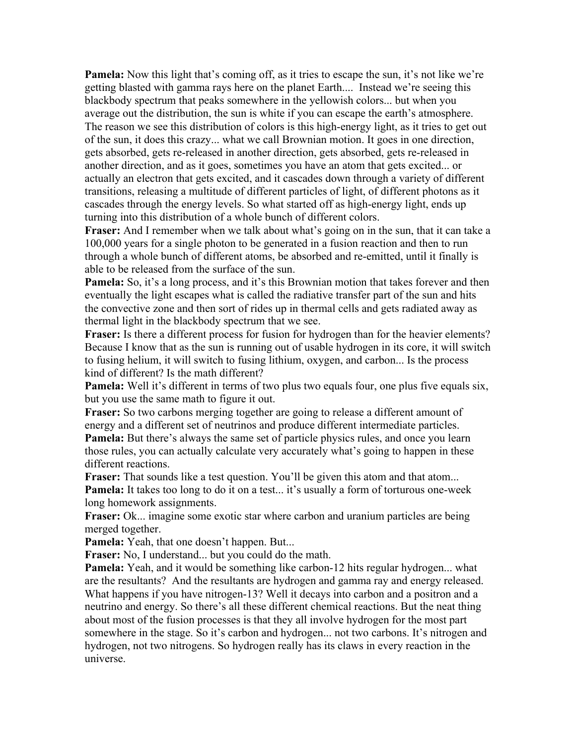**Pamela:** Now this light that's coming off, as it tries to escape the sun, it's not like we're getting blasted with gamma rays here on the planet Earth.... Instead we're seeing this blackbody spectrum that peaks somewhere in the yellowish colors... but when you average out the distribution, the sun is white if you can escape the earth's atmosphere. The reason we see this distribution of colors is this high-energy light, as it tries to get out of the sun, it does this crazy... what we call Brownian motion. It goes in one direction, gets absorbed, gets re-released in another direction, gets absorbed, gets re-released in another direction, and as it goes, sometimes you have an atom that gets excited... or actually an electron that gets excited, and it cascades down through a variety of different transitions, releasing a multitude of different particles of light, of different photons as it cascades through the energy levels. So what started off as high-energy light, ends up turning into this distribution of a whole bunch of different colors.

**Fraser:** And I remember when we talk about what's going on in the sun, that it can take a 100,000 years for a single photon to be generated in a fusion reaction and then to run through a whole bunch of different atoms, be absorbed and re-emitted, until it finally is able to be released from the surface of the sun.

**Pamela:** So, it's a long process, and it's this Brownian motion that takes forever and then eventually the light escapes what is called the radiative transfer part of the sun and hits the convective zone and then sort of rides up in thermal cells and gets radiated away as thermal light in the blackbody spectrum that we see.

**Fraser:** Is there a different process for fusion for hydrogen than for the heavier elements? Because I know that as the sun is running out of usable hydrogen in its core, it will switch to fusing helium, it will switch to fusing lithium, oxygen, and carbon... Is the process kind of different? Is the math different?

**Pamela:** Well it's different in terms of two plus two equals four, one plus five equals six, but you use the same math to figure it out.

**Fraser:** So two carbons merging together are going to release a different amount of energy and a different set of neutrinos and produce different intermediate particles. **Pamela:** But there's always the same set of particle physics rules, and once you learn those rules, you can actually calculate very accurately what's going to happen in these different reactions.

**Fraser:** That sounds like a test question. You'll be given this atom and that atom... **Pamela:** It takes too long to do it on a test... it's usually a form of torturous one-week long homework assignments.

**Fraser:** Ok... imagine some exotic star where carbon and uranium particles are being merged together.

**Pamela:** Yeah, that one doesn't happen. But...

**Fraser:** No, I understand... but you could do the math.

**Pamela:** Yeah, and it would be something like carbon-12 hits regular hydrogen... what are the resultants? And the resultants are hydrogen and gamma ray and energy released. What happens if you have nitrogen-13? Well it decays into carbon and a positron and a neutrino and energy. So there's all these different chemical reactions. But the neat thing about most of the fusion processes is that they all involve hydrogen for the most part somewhere in the stage. So it's carbon and hydrogen... not two carbons. It's nitrogen and hydrogen, not two nitrogens. So hydrogen really has its claws in every reaction in the universe.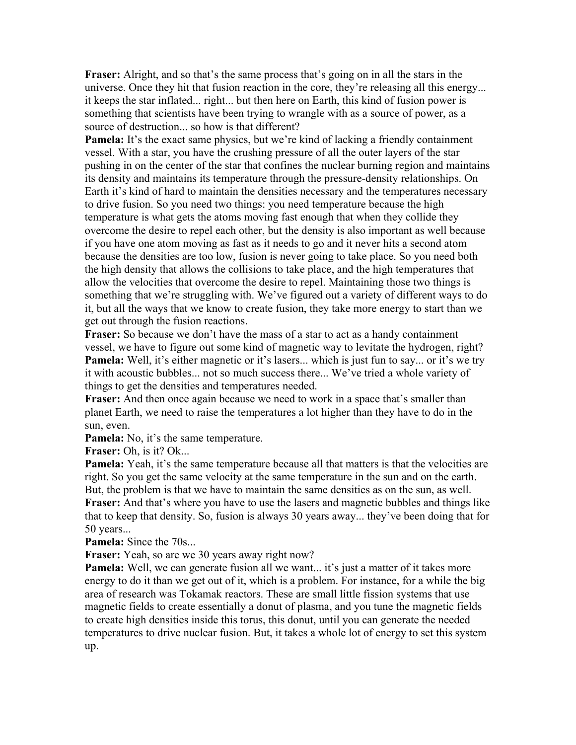**Fraser:** Alright, and so that's the same process that's going on in all the stars in the universe. Once they hit that fusion reaction in the core, they're releasing all this energy... it keeps the star inflated... right... but then here on Earth, this kind of fusion power is something that scientists have been trying to wrangle with as a source of power, as a source of destruction... so how is that different?

**Pamela:** It's the exact same physics, but we're kind of lacking a friendly containment vessel. With a star, you have the crushing pressure of all the outer layers of the star pushing in on the center of the star that confines the nuclear burning region and maintains its density and maintains its temperature through the pressure-density relationships. On Earth it's kind of hard to maintain the densities necessary and the temperatures necessary to drive fusion. So you need two things: you need temperature because the high temperature is what gets the atoms moving fast enough that when they collide they overcome the desire to repel each other, but the density is also important as well because if you have one atom moving as fast as it needs to go and it never hits a second atom because the densities are too low, fusion is never going to take place. So you need both the high density that allows the collisions to take place, and the high temperatures that allow the velocities that overcome the desire to repel. Maintaining those two things is something that we're struggling with. We've figured out a variety of different ways to do it, but all the ways that we know to create fusion, they take more energy to start than we get out through the fusion reactions.

**Fraser:** So because we don't have the mass of a star to act as a handy containment vessel, we have to figure out some kind of magnetic way to levitate the hydrogen, right? **Pamela:** Well, it's either magnetic or it's lasers... which is just fun to say... or it's we try it with acoustic bubbles... not so much success there... We've tried a whole variety of things to get the densities and temperatures needed.

**Fraser:** And then once again because we need to work in a space that's smaller than planet Earth, we need to raise the temperatures a lot higher than they have to do in the sun, even.

**Pamela:** No, it's the same temperature.

**Fraser:** Oh, is it? Ok...

**Pamela:** Yeah, it's the same temperature because all that matters is that the velocities are right. So you get the same velocity at the same temperature in the sun and on the earth. But, the problem is that we have to maintain the same densities as on the sun, as well. **Fraser:** And that's where you have to use the lasers and magnetic bubbles and things like that to keep that density. So, fusion is always 30 years away... they've been doing that for 50 years...

**Pamela:** Since the 70s...

**Fraser:** Yeah, so are we 30 years away right now?

**Pamela:** Well, we can generate fusion all we want... it's just a matter of it takes more energy to do it than we get out of it, which is a problem. For instance, for a while the big area of research was Tokamak reactors. These are small little fission systems that use magnetic fields to create essentially a donut of plasma, and you tune the magnetic fields to create high densities inside this torus, this donut, until you can generate the needed temperatures to drive nuclear fusion. But, it takes a whole lot of energy to set this system up.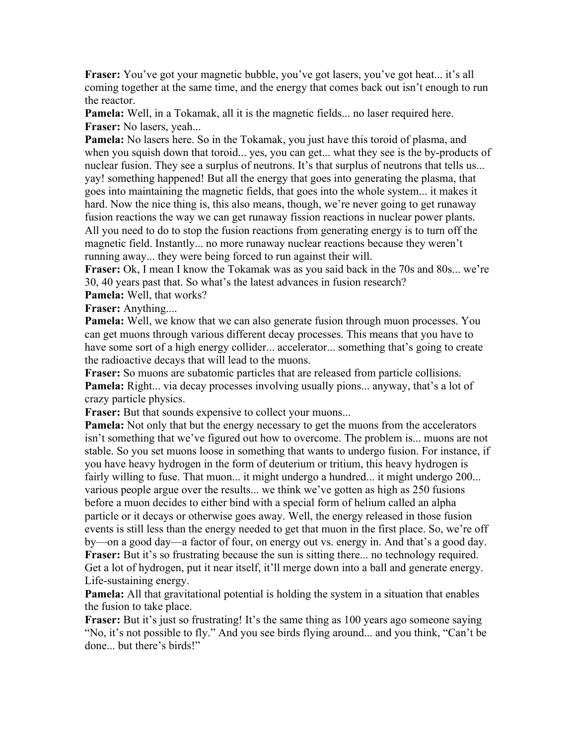**Fraser:** You've got your magnetic bubble, you've got lasers, you've got heat... it's all coming together at the same time, and the energy that comes back out isn't enough to run the reactor.

**Pamela:** Well, in a Tokamak, all it is the magnetic fields... no laser required here. **Fraser:** No lasers, yeah...

**Pamela:** No lasers here. So in the Tokamak, you just have this toroid of plasma, and when you squish down that toroid... yes, you can get... what they see is the by-products of nuclear fusion. They see a surplus of neutrons. It's that surplus of neutrons that tells us... yay! something happened! But all the energy that goes into generating the plasma, that goes into maintaining the magnetic fields, that goes into the whole system... it makes it hard. Now the nice thing is, this also means, though, we're never going to get runaway fusion reactions the way we can get runaway fission reactions in nuclear power plants. All you need to do to stop the fusion reactions from generating energy is to turn off the magnetic field. Instantly... no more runaway nuclear reactions because they weren't running away... they were being forced to run against their will.

**Fraser:** Ok, I mean I know the Tokamak was as you said back in the 70s and 80s... we're 30, 40 years past that. So what's the latest advances in fusion research?

**Pamela:** Well, that works?

**Fraser:** Anything....

**Pamela:** Well, we know that we can also generate fusion through muon processes. You can get muons through various different decay processes. This means that you have to have some sort of a high energy collider... accelerator... something that's going to create the radioactive decays that will lead to the muons.

**Fraser:** So muons are subatomic particles that are released from particle collisions. **Pamela:** Right... via decay processes involving usually pions... anyway, that's a lot of crazy particle physics.

**Fraser:** But that sounds expensive to collect your muons...

**Pamela:** Not only that but the energy necessary to get the muons from the accelerators isn't something that we've figured out how to overcome. The problem is... muons are not stable. So you set muons loose in something that wants to undergo fusion. For instance, if you have heavy hydrogen in the form of deuterium or tritium, this heavy hydrogen is fairly willing to fuse. That muon... it might undergo a hundred... it might undergo 200... various people argue over the results... we think we've gotten as high as 250 fusions before a muon decides to either bind with a special form of helium called an alpha particle or it decays or otherwise goes away. Well, the energy released in those fusion events is still less than the energy needed to get that muon in the first place. So, we're off by—on a good day—a factor of four, on energy out vs. energy in. And that's a good day. **Fraser:** But it's so frustrating because the sun is sitting there... no technology required. Get a lot of hydrogen, put it near itself, it'll merge down into a ball and generate energy. Life-sustaining energy.

**Pamela:** All that gravitational potential is holding the system in a situation that enables the fusion to take place.

**Fraser:** But it's just so frustrating! It's the same thing as 100 years ago someone saying "No, it's not possible to fly." And you see birds flying around... and you think, "Can't be done... but there's birds!"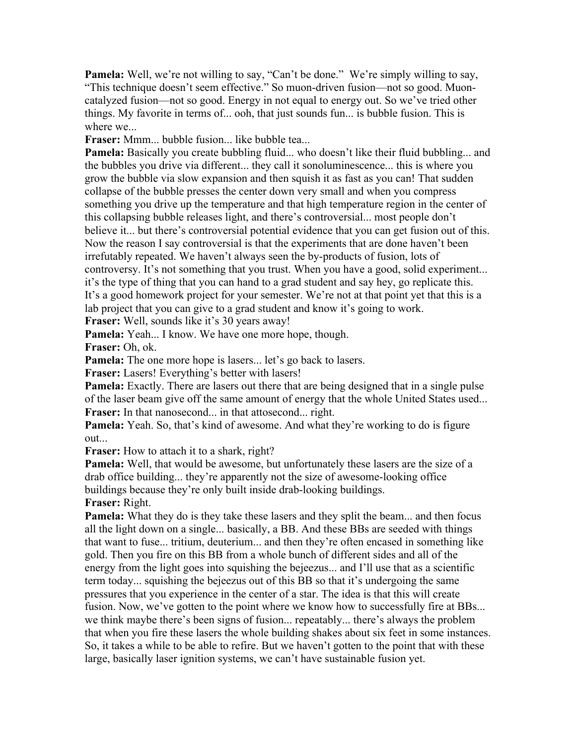**Pamela:** Well, we're not willing to say, "Can't be done." We're simply willing to say, "This technique doesn't seem effective." So muon-driven fusion—not so good. Muoncatalyzed fusion—not so good. Energy in not equal to energy out. So we've tried other things. My favorite in terms of... ooh, that just sounds fun... is bubble fusion. This is where we...

**Fraser:** Mmm... bubble fusion... like bubble tea...

**Pamela:** Basically you create bubbling fluid... who doesn't like their fluid bubbling... and the bubbles you drive via different... they call it sonoluminescence... this is where you grow the bubble via slow expansion and then squish it as fast as you can! That sudden collapse of the bubble presses the center down very small and when you compress something you drive up the temperature and that high temperature region in the center of this collapsing bubble releases light, and there's controversial... most people don't believe it... but there's controversial potential evidence that you can get fusion out of this. Now the reason I say controversial is that the experiments that are done haven't been irrefutably repeated. We haven't always seen the by-products of fusion, lots of controversy. It's not something that you trust. When you have a good, solid experiment... it's the type of thing that you can hand to a grad student and say hey, go replicate this. It's a good homework project for your semester. We're not at that point yet that this is a lab project that you can give to a grad student and know it's going to work.

**Fraser:** Well, sounds like it's 30 years away!

**Pamela:** Yeah... I know. We have one more hope, though.

**Fraser:** Oh, ok.

**Pamela:** The one more hope is lasers... let's go back to lasers.

**Fraser:** Lasers! Everything's better with lasers!

**Pamela:** Exactly. There are lasers out there that are being designed that in a single pulse of the laser beam give off the same amount of energy that the whole United States used... **Fraser:** In that nanosecond... in that attosecond... right.

**Pamela:** Yeah. So, that's kind of awesome. And what they're working to do is figure out...

**Fraser:** How to attach it to a shark, right?

**Pamela:** Well, that would be awesome, but unfortunately these lasers are the size of a drab office building... they're apparently not the size of awesome-looking office buildings because they're only built inside drab-looking buildings.

**Fraser:** Right.

**Pamela:** What they do is they take these lasers and they split the beam... and then focus all the light down on a single... basically, a BB. And these BBs are seeded with things that want to fuse... tritium, deuterium... and then they're often encased in something like gold. Then you fire on this BB from a whole bunch of different sides and all of the energy from the light goes into squishing the bejeezus... and I'll use that as a scientific term today... squishing the bejeezus out of this BB so that it's undergoing the same pressures that you experience in the center of a star. The idea is that this will create fusion. Now, we've gotten to the point where we know how to successfully fire at BBs... we think maybe there's been signs of fusion... repeatably... there's always the problem that when you fire these lasers the whole building shakes about six feet in some instances. So, it takes a while to be able to refire. But we haven't gotten to the point that with these large, basically laser ignition systems, we can't have sustainable fusion yet.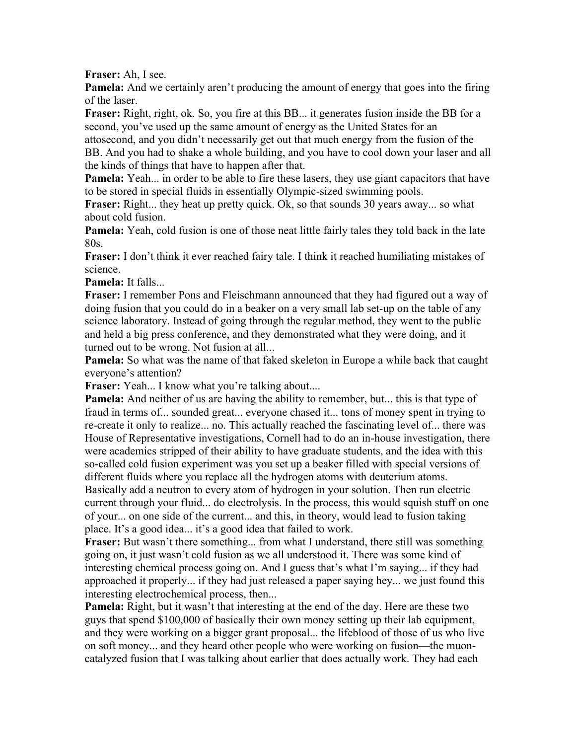**Fraser:** Ah, I see.

**Pamela:** And we certainly aren't producing the amount of energy that goes into the firing of the laser.

**Fraser:** Right, right, ok. So, you fire at this BB... it generates fusion inside the BB for a second, you've used up the same amount of energy as the United States for an attosecond, and you didn't necessarily get out that much energy from the fusion of the

BB. And you had to shake a whole building, and you have to cool down your laser and all the kinds of things that have to happen after that.

**Pamela:** Yeah... in order to be able to fire these lasers, they use giant capacitors that have to be stored in special fluids in essentially Olympic-sized swimming pools.

**Fraser:** Right... they heat up pretty quick. Ok, so that sounds 30 years away... so what about cold fusion.

**Pamela:** Yeah, cold fusion is one of those neat little fairly tales they told back in the late 80s.

**Fraser:** I don't think it ever reached fairy tale. I think it reached humiliating mistakes of science.

**Pamela:** It falls...

**Fraser:** I remember Pons and Fleischmann announced that they had figured out a way of doing fusion that you could do in a beaker on a very small lab set-up on the table of any science laboratory. Instead of going through the regular method, they went to the public and held a big press conference, and they demonstrated what they were doing, and it turned out to be wrong. Not fusion at all...

**Pamela:** So what was the name of that faked skeleton in Europe a while back that caught everyone's attention?

**Fraser:** Yeah... I know what you're talking about....

**Pamela:** And neither of us are having the ability to remember, but... this is that type of fraud in terms of... sounded great... everyone chased it... tons of money spent in trying to re-create it only to realize... no. This actually reached the fascinating level of... there was House of Representative investigations, Cornell had to do an in-house investigation, there were academics stripped of their ability to have graduate students, and the idea with this so-called cold fusion experiment was you set up a beaker filled with special versions of different fluids where you replace all the hydrogen atoms with deuterium atoms. Basically add a neutron to every atom of hydrogen in your solution. Then run electric

current through your fluid... do electrolysis. In the process, this would squish stuff on one of your... on one side of the current... and this, in theory, would lead to fusion taking place. It's a good idea... it's a good idea that failed to work.

**Fraser:** But wasn't there something... from what I understand, there still was something going on, it just wasn't cold fusion as we all understood it. There was some kind of interesting chemical process going on. And I guess that's what I'm saying... if they had approached it properly... if they had just released a paper saying hey... we just found this interesting electrochemical process, then...

**Pamela:** Right, but it wasn't that interesting at the end of the day. Here are these two guys that spend \$100,000 of basically their own money setting up their lab equipment, and they were working on a bigger grant proposal... the lifeblood of those of us who live on soft money... and they heard other people who were working on fusion—the muoncatalyzed fusion that I was talking about earlier that does actually work. They had each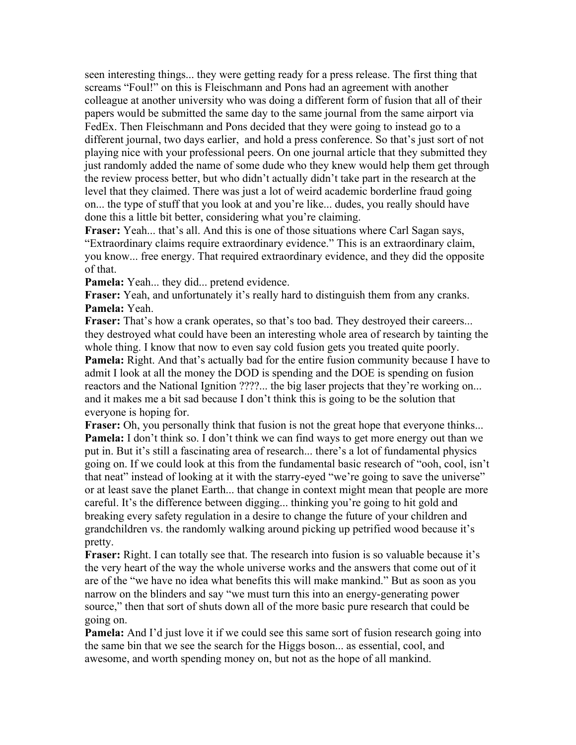seen interesting things... they were getting ready for a press release. The first thing that screams "Foul!" on this is Fleischmann and Pons had an agreement with another colleague at another university who was doing a different form of fusion that all of their papers would be submitted the same day to the same journal from the same airport via FedEx. Then Fleischmann and Pons decided that they were going to instead go to a different journal, two days earlier, and hold a press conference. So that's just sort of not playing nice with your professional peers. On one journal article that they submitted they just randomly added the name of some dude who they knew would help them get through the review process better, but who didn't actually didn't take part in the research at the level that they claimed. There was just a lot of weird academic borderline fraud going on... the type of stuff that you look at and you're like... dudes, you really should have done this a little bit better, considering what you're claiming.

**Fraser:** Yeah... that's all. And this is one of those situations where Carl Sagan says, "Extraordinary claims require extraordinary evidence." This is an extraordinary claim, you know... free energy. That required extraordinary evidence, and they did the opposite of that.

**Pamela:** Yeah... they did... pretend evidence.

**Fraser:** Yeah, and unfortunately it's really hard to distinguish them from any cranks. **Pamela:** Yeah.

**Fraser:** That's how a crank operates, so that's too bad. They destroyed their careers... they destroyed what could have been an interesting whole area of research by tainting the whole thing. I know that now to even say cold fusion gets you treated quite poorly.

**Pamela:** Right. And that's actually bad for the entire fusion community because I have to admit I look at all the money the DOD is spending and the DOE is spending on fusion reactors and the National Ignition ????... the big laser projects that they're working on... and it makes me a bit sad because I don't think this is going to be the solution that everyone is hoping for.

Fraser: Oh, you personally think that fusion is not the great hope that everyone thinks... **Pamela:** I don't think so. I don't think we can find ways to get more energy out than we put in. But it's still a fascinating area of research... there's a lot of fundamental physics going on. If we could look at this from the fundamental basic research of "ooh, cool, isn't that neat" instead of looking at it with the starry-eyed "we're going to save the universe" or at least save the planet Earth... that change in context might mean that people are more careful. It's the difference between digging... thinking you're going to hit gold and breaking every safety regulation in a desire to change the future of your children and grandchildren vs. the randomly walking around picking up petrified wood because it's pretty.

**Fraser:** Right. I can totally see that. The research into fusion is so valuable because it's the very heart of the way the whole universe works and the answers that come out of it are of the "we have no idea what benefits this will make mankind." But as soon as you narrow on the blinders and say "we must turn this into an energy-generating power source," then that sort of shuts down all of the more basic pure research that could be going on.

**Pamela:** And I'd just love it if we could see this same sort of fusion research going into the same bin that we see the search for the Higgs boson... as essential, cool, and awesome, and worth spending money on, but not as the hope of all mankind.